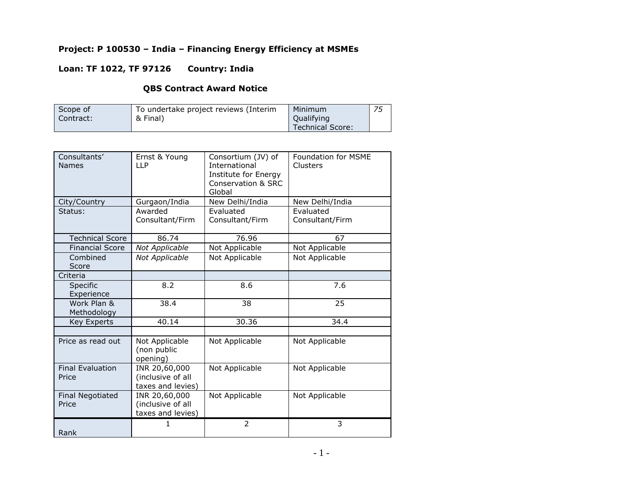# **Project: P 100530 – India – Financing Energy Efficiency at MSMEs**

## **Loan: TF 1022, TF 97126 Country: India**

## **QBS Contract Award Notice**

| Scope of  | To undertake project reviews (Interim | Minimum                 | 75 |
|-----------|---------------------------------------|-------------------------|----|
| Contract: | & Final)                              | Qualifying              |    |
|           |                                       | <b>Technical Score:</b> |    |

| Consultants'<br><b>Names</b>     | Ernst & Young<br><b>LLP</b>                             | Consortium (JV) of<br>International<br><b>Institute for Energy</b><br>Conservation & SRC<br>Global | Foundation for MSME<br>Clusters |
|----------------------------------|---------------------------------------------------------|----------------------------------------------------------------------------------------------------|---------------------------------|
| City/Country                     | Gurgaon/India                                           | New Delhi/India                                                                                    | New Delhi/India                 |
| Status:                          | Awarded<br>Consultant/Firm                              | Evaluated<br>Consultant/Firm                                                                       | Evaluated<br>Consultant/Firm    |
| <b>Technical Score</b>           | 86.74                                                   | 76.96                                                                                              | 67                              |
| <b>Financial Score</b>           | Not Applicable                                          | Not Applicable                                                                                     | Not Applicable                  |
| Combined<br>Score                | Not Applicable                                          | Not Applicable                                                                                     | Not Applicable                  |
| Criteria                         |                                                         |                                                                                                    |                                 |
| Specific<br>Experience           | 8.2                                                     | 8.6                                                                                                | 7.6                             |
| Work Plan &<br>Methodology       | 38.4                                                    | 38                                                                                                 | 25                              |
| Key Experts                      | 40.14                                                   | 30.36                                                                                              | 34.4                            |
|                                  |                                                         |                                                                                                    |                                 |
| Price as read out                | Not Applicable<br>(non public<br>opening)               | Not Applicable                                                                                     | Not Applicable                  |
| <b>Final Evaluation</b><br>Price | INR 20,60,000<br>(inclusive of all<br>taxes and levies) | Not Applicable                                                                                     | Not Applicable                  |
| <b>Final Negotiated</b><br>Price | INR 20,60,000<br>(inclusive of all<br>taxes and levies) | Not Applicable                                                                                     | Not Applicable                  |
| Rank                             | 1                                                       | 2                                                                                                  | 3                               |